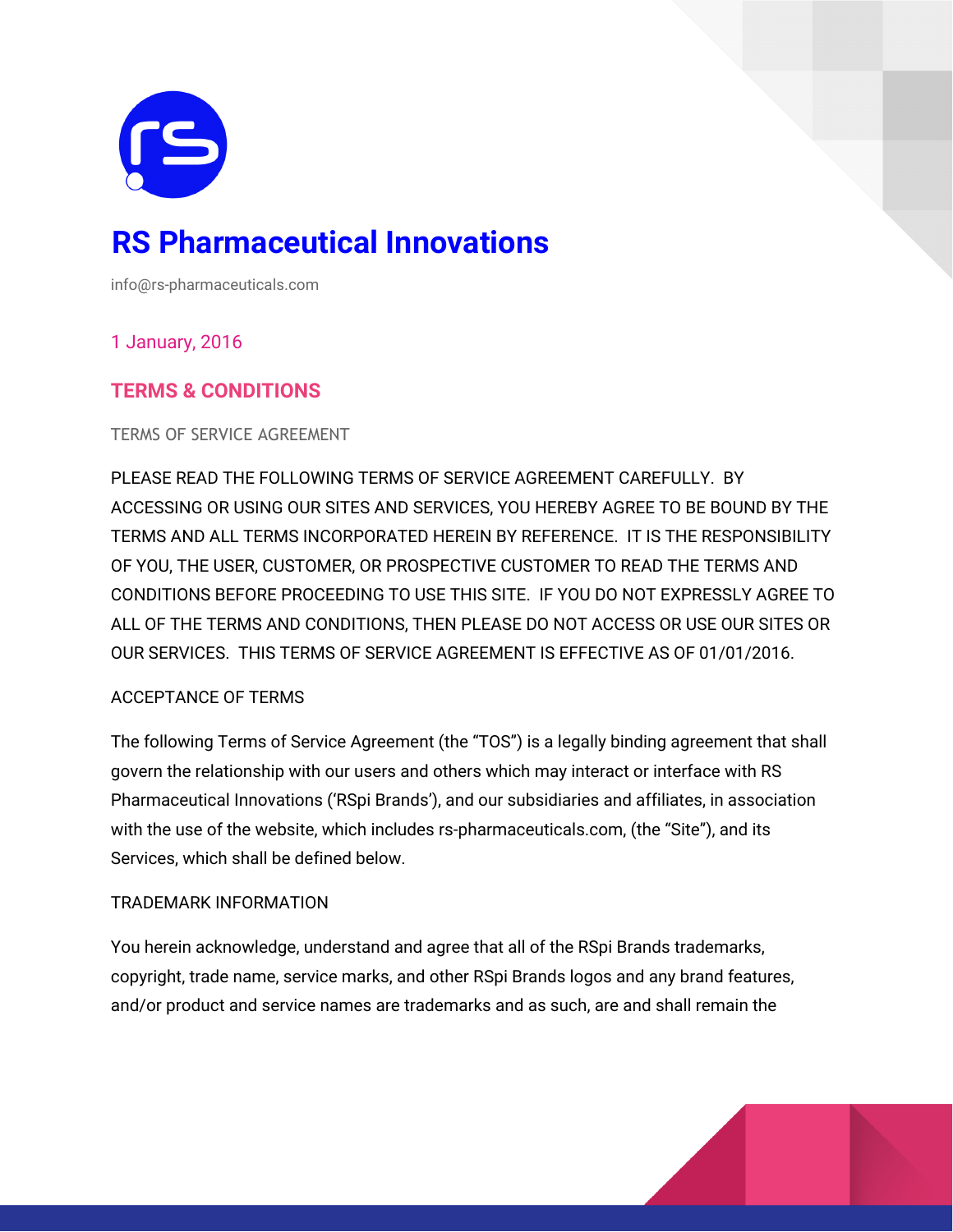

# **RS Pharmaceutical Innovations**

info@rs-pharmaceuticals.com

## 1 January, 2016

# **TERMS & CONDITIONS**

TERMS OF SERVICE AGREEMENT

PLEASE READ THE FOLLOWING TERMS OF SERVICE AGREEMENT CAREFULLY. BY ACCESSING OR USING OUR SITES AND SERVICES, YOU HEREBY AGREE TO BE BOUND BY THE TERMS AND ALL TERMS INCORPORATED HEREIN BY REFERENCE. IT IS THE RESPONSIBILITY OF YOU, THE USER, CUSTOMER, OR PROSPECTIVE CUSTOMER TO READ THE TERMS AND CONDITIONS BEFORE PROCEEDING TO USE THIS SITE. IF YOU DO NOT EXPRESSLY AGREE TO ALL OF THE TERMS AND CONDITIONS, THEN PLEASE DO NOT ACCESS OR USE OUR SITES OR OUR SERVICES. THIS TERMS OF SERVICE AGREEMENT IS EFFECTIVE AS OF 01/01/2016.

## ACCEPTANCE OF TERMS

The following Terms of Service Agreement (the "TOS") is a legally binding agreement that shall govern the relationship with our users and others which may interact or interface with RS Pharmaceutical Innovations ('RSpi Brands'), and our subsidiaries and affiliates, in association with the use of the website, which includes rs-pharmaceuticals.com, (the "Site"), and its Services, which shall be defined below.

## TRADEMARK INFORMATION

You herein acknowledge, understand and agree that all of the RSpi Brands trademarks, copyright, trade name, service marks, and other RSpi Brands logos and any brand features, and/or product and service names are trademarks and as such, are and shall remain the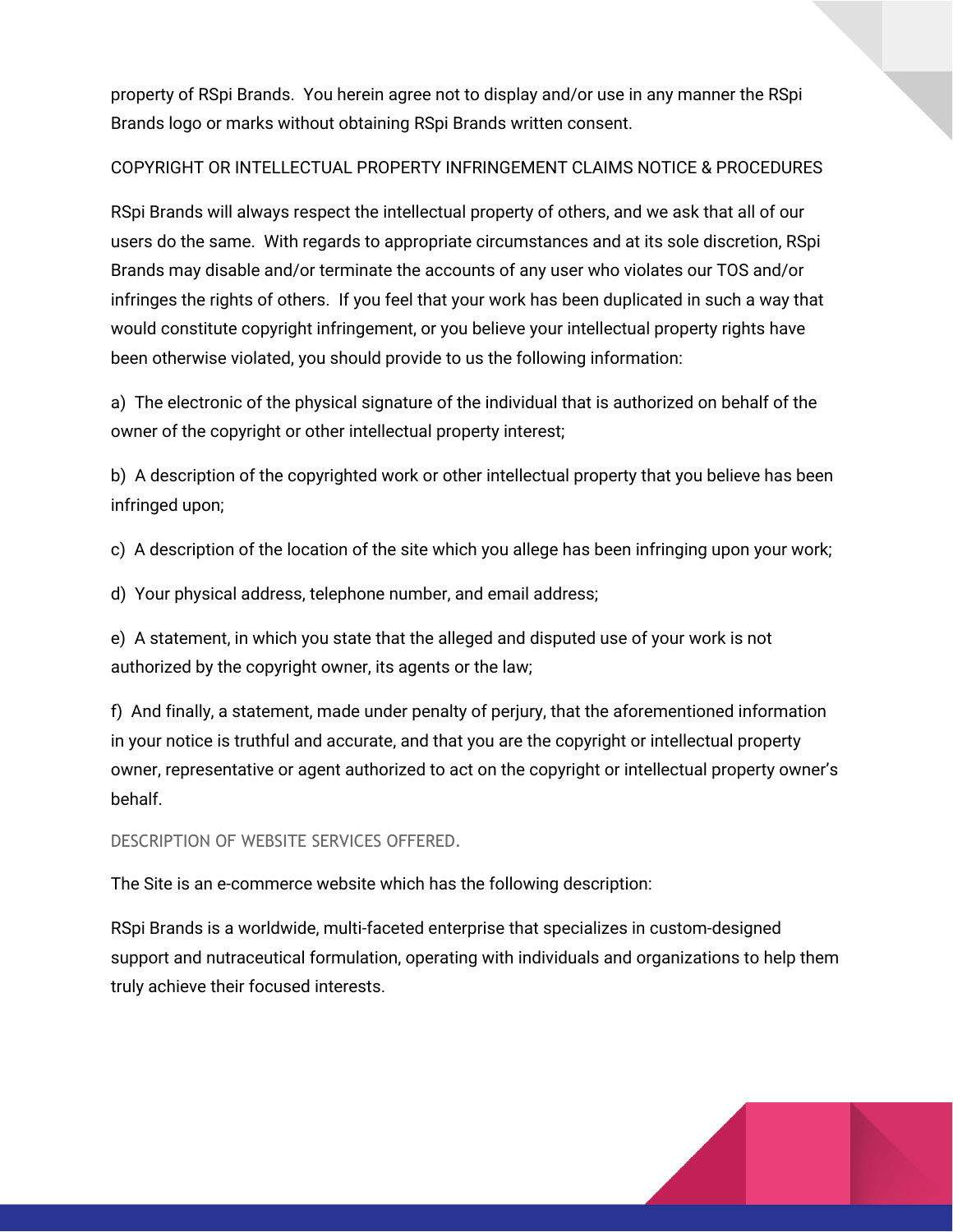property of RSpi Brands. You herein agree not to display and/or use in any manner the RSpi Brands logo or marks without obtaining RSpi Brands written consent.

## COPYRIGHT OR INTELLECTUAL PROPERTY INFRINGEMENT CLAIMS NOTICE & PROCEDURES

RSpi Brands will always respect the intellectual property of others, and we ask that all of our users do the same. With regards to appropriate circumstances and at its sole discretion, RSpi Brands may disable and/or terminate the accounts of any user who violates our TOS and/or infringes the rights of others. If you feel that your work has been duplicated in such a way that would constitute copyright infringement, or you believe your intellectual property rights have been otherwise violated, you should provide to us the following information:

a) The electronic of the physical signature of the individual that is authorized on behalf of the owner of the copyright or other intellectual property interest;

b) A description of the copyrighted work or other intellectual property that you believe has been infringed upon;

c) A description of the location of the site which you allege has been infringing upon your work;

d) Your physical address, telephone number, and email address;

e) A statement, in which you state that the alleged and disputed use of your work is not authorized by the copyright owner, its agents or the law;

f) And finally, a statement, made under penalty of perjury, that the aforementioned information in your notice is truthful and accurate, and that you are the copyright or intellectual property owner, representative or agent authorized to act on the copyright or intellectual property owner's behalf.

DESCRIPTION OF WEBSITE SERVICES OFFERED.

The Site is an e-commerce website which has the following description:

RSpi Brands is a worldwide, multi-faceted enterprise that specializes in custom-designed support and nutraceutical formulation, operating with individuals and organizations to help them truly achieve their focused interests.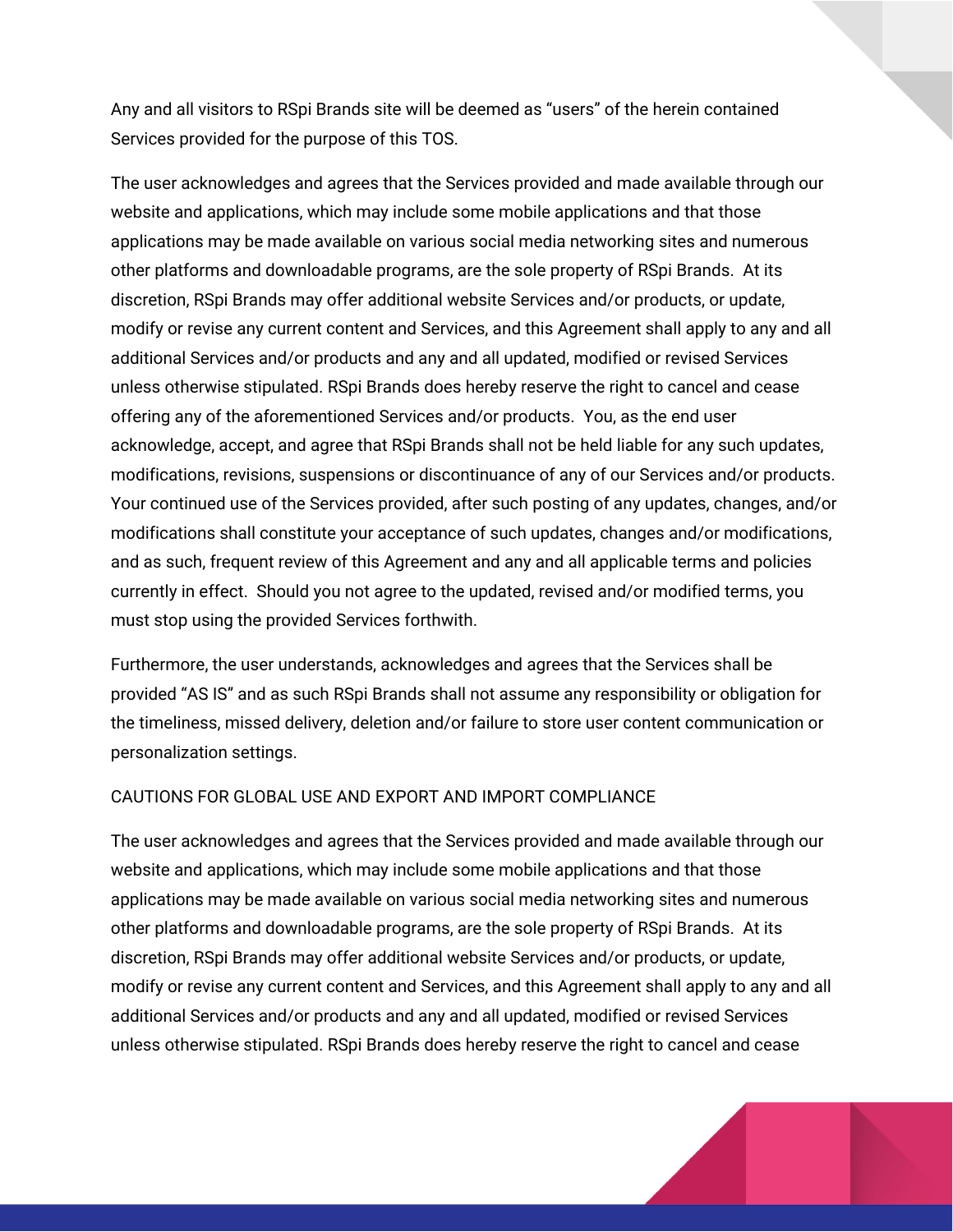Any and all visitors to RSpi Brands site will be deemed as "users" of the herein contained Services provided for the purpose of this TOS.

The user acknowledges and agrees that the Services provided and made available through our website and applications, which may include some mobile applications and that those applications may be made available on various social media networking sites and numerous other platforms and downloadable programs, are the sole property of RSpi Brands. At its discretion, RSpi Brands may offer additional website Services and/or products, or update, modify or revise any current content and Services, and this Agreement shall apply to any and all additional Services and/or products and any and all updated, modified or revised Services unless otherwise stipulated. RSpi Brands does hereby reserve the right to cancel and cease offering any of the aforementioned Services and/or products. You, as the end user acknowledge, accept, and agree that RSpi Brands shall not be held liable for any such updates, modifications, revisions, suspensions or discontinuance of any of our Services and/or products. Your continued use of the Services provided, after such posting of any updates, changes, and/or modifications shall constitute your acceptance of such updates, changes and/or modifications, and as such, frequent review of this Agreement and any and all applicable terms and policies currently in effect. Should you not agree to the updated, revised and/or modified terms, you must stop using the provided Services forthwith.

Furthermore, the user understands, acknowledges and agrees that the Services shall be provided "AS IS" and as such RSpi Brands shall not assume any responsibility or obligation for the timeliness, missed delivery, deletion and/or failure to store user content communication or personalization settings.

#### CAUTIONS FOR GLOBAL USE AND EXPORT AND IMPORT COMPLIANCE

The user acknowledges and agrees that the Services provided and made available through our website and applications, which may include some mobile applications and that those applications may be made available on various social media networking sites and numerous other platforms and downloadable programs, are the sole property of RSpi Brands. At its discretion, RSpi Brands may offer additional website Services and/or products, or update, modify or revise any current content and Services, and this Agreement shall apply to any and all additional Services and/or products and any and all updated, modified or revised Services unless otherwise stipulated. RSpi Brands does hereby reserve the right to cancel and cease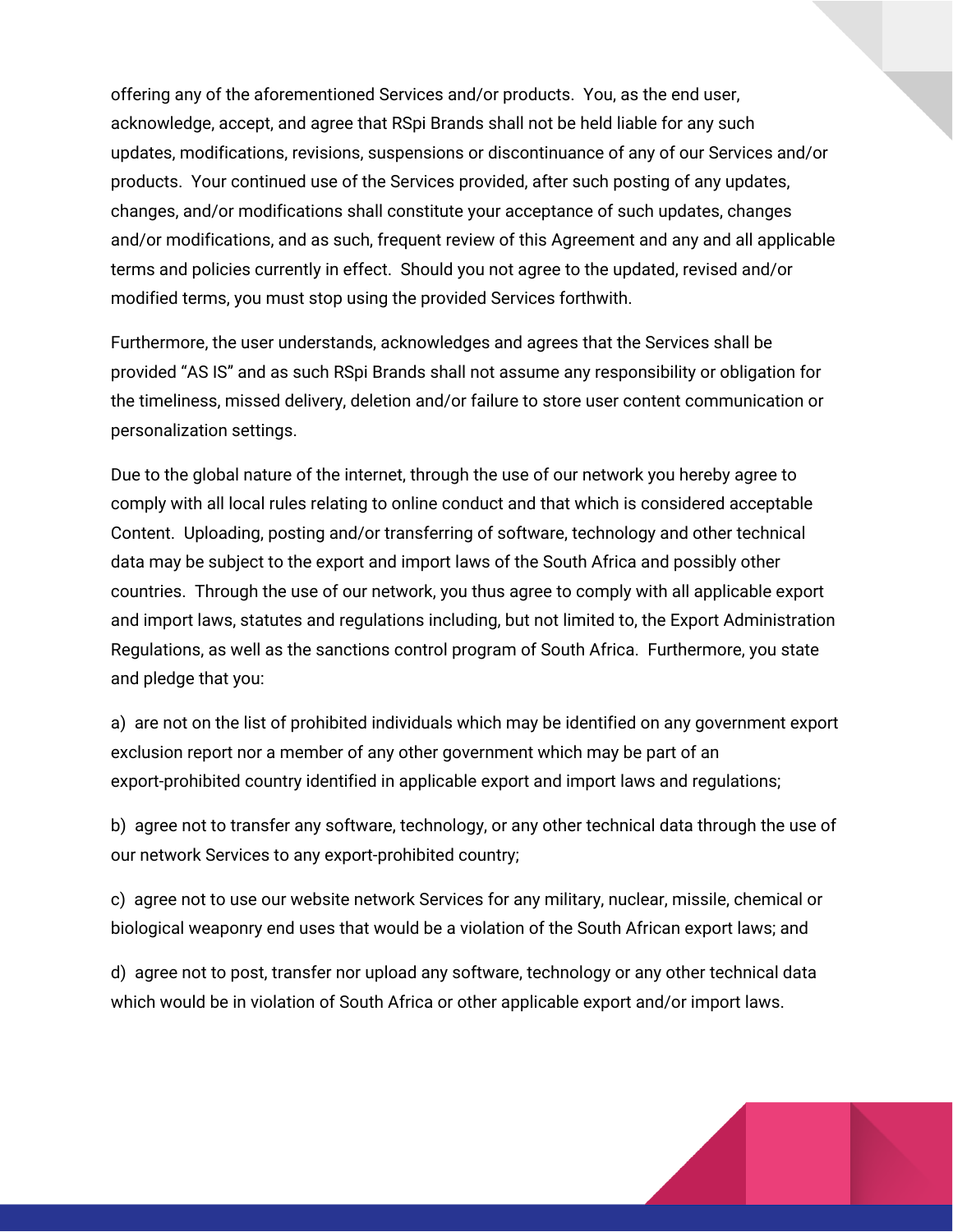offering any of the aforementioned Services and/or products. You, as the end user, acknowledge, accept, and agree that RSpi Brands shall not be held liable for any such updates, modifications, revisions, suspensions or discontinuance of any of our Services and/or products. Your continued use of the Services provided, after such posting of any updates, changes, and/or modifications shall constitute your acceptance of such updates, changes and/or modifications, and as such, frequent review of this Agreement and any and all applicable terms and policies currently in effect. Should you not agree to the updated, revised and/or modified terms, you must stop using the provided Services forthwith.

Furthermore, the user understands, acknowledges and agrees that the Services shall be provided "AS IS" and as such RSpi Brands shall not assume any responsibility or obligation for the timeliness, missed delivery, deletion and/or failure to store user content communication or personalization settings.

Due to the global nature of the internet, through the use of our network you hereby agree to comply with all local rules relating to online conduct and that which is considered acceptable Content. Uploading, posting and/or transferring of software, technology and other technical data may be subject to the export and import laws of the South Africa and possibly other countries. Through the use of our network, you thus agree to comply with all applicable export and import laws, statutes and regulations including, but not limited to, the Export Administration Regulations, as well as the sanctions control program of South Africa. Furthermore, you state and pledge that you:

a) are not on the list of prohibited individuals which may be identified on any government export exclusion report nor a member of any other government which may be part of an export-prohibited country identified in applicable export and import laws and regulations;

b) agree not to transfer any software, technology, or any other technical data through the use of our network Services to any export-prohibited country;

c) agree not to use our website network Services for any military, nuclear, missile, chemical or biological weaponry end uses that would be a violation of the South African export laws; and

d) agree not to post, transfer nor upload any software, technology or any other technical data which would be in violation of South Africa or other applicable export and/or import laws.

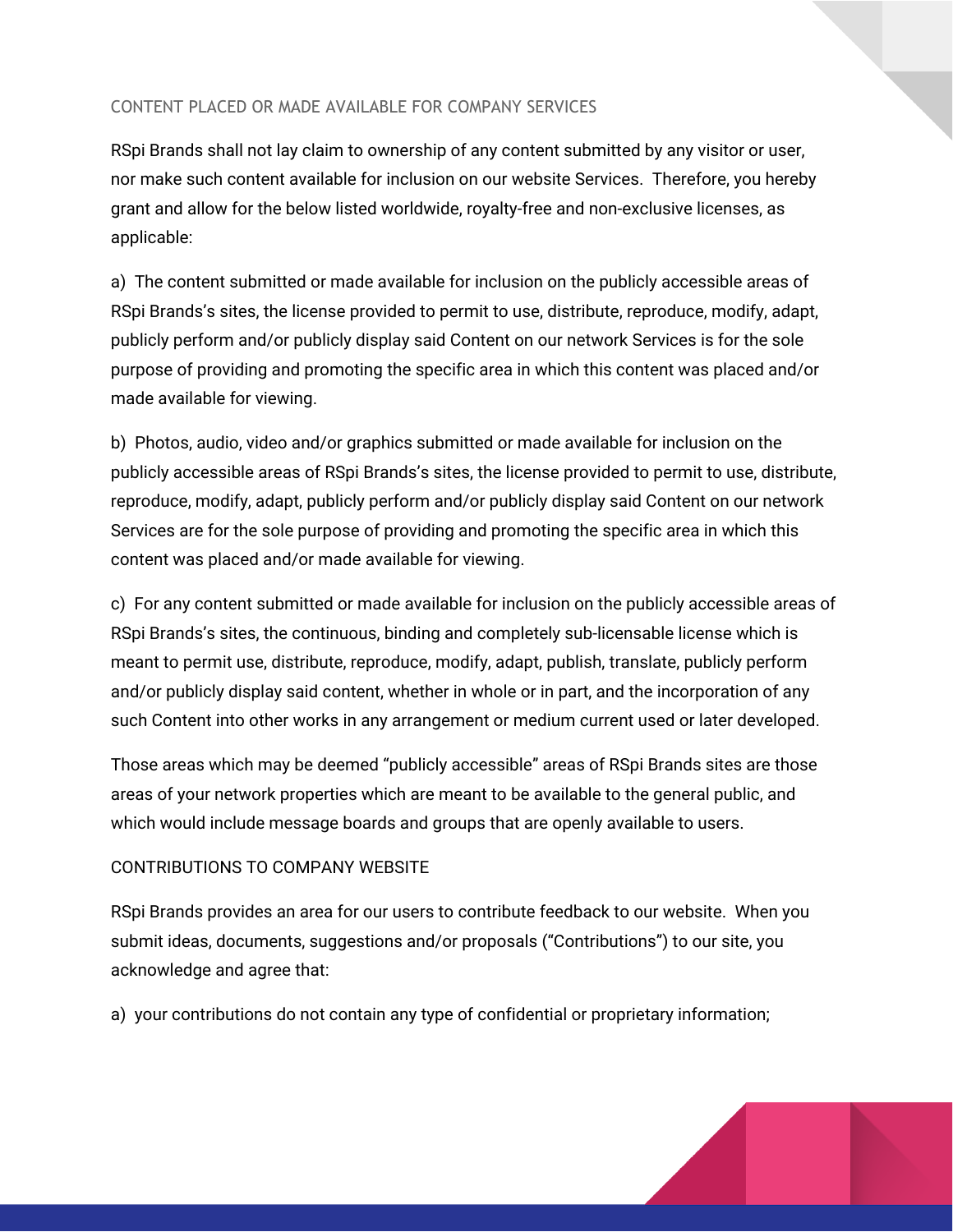## CONTENT PLACED OR MADE AVAILABLE FOR COMPANY SERVICES

RSpi Brands shall not lay claim to ownership of any content submitted by any visitor or user, nor make such content available for inclusion on our website Services. Therefore, you hereby grant and allow for the below listed worldwide, royalty-free and non-exclusive licenses, as applicable:

a) The content submitted or made available for inclusion on the publicly accessible areas of RSpi Brands's sites, the license provided to permit to use, distribute, reproduce, modify, adapt, publicly perform and/or publicly display said Content on our network Services is for the sole purpose of providing and promoting the specific area in which this content was placed and/or made available for viewing.

b) Photos, audio, video and/or graphics submitted or made available for inclusion on the publicly accessible areas of RSpi Brands's sites, the license provided to permit to use, distribute, reproduce, modify, adapt, publicly perform and/or publicly display said Content on our network Services are for the sole purpose of providing and promoting the specific area in which this content was placed and/or made available for viewing.

c) For any content submitted or made available for inclusion on the publicly accessible areas of RSpi Brands's sites, the continuous, binding and completely sub-licensable license which is meant to permit use, distribute, reproduce, modify, adapt, publish, translate, publicly perform and/or publicly display said content, whether in whole or in part, and the incorporation of any such Content into other works in any arrangement or medium current used or later developed.

Those areas which may be deemed "publicly accessible" areas of RSpi Brands sites are those areas of your network properties which are meant to be available to the general public, and which would include message boards and groups that are openly available to users.

## CONTRIBUTIONS TO COMPANY WEBSITE

RSpi Brands provides an area for our users to contribute feedback to our website. When you submit ideas, documents, suggestions and/or proposals ("Contributions") to our site, you acknowledge and agree that:

a) your contributions do not contain any type of confidential or proprietary information;

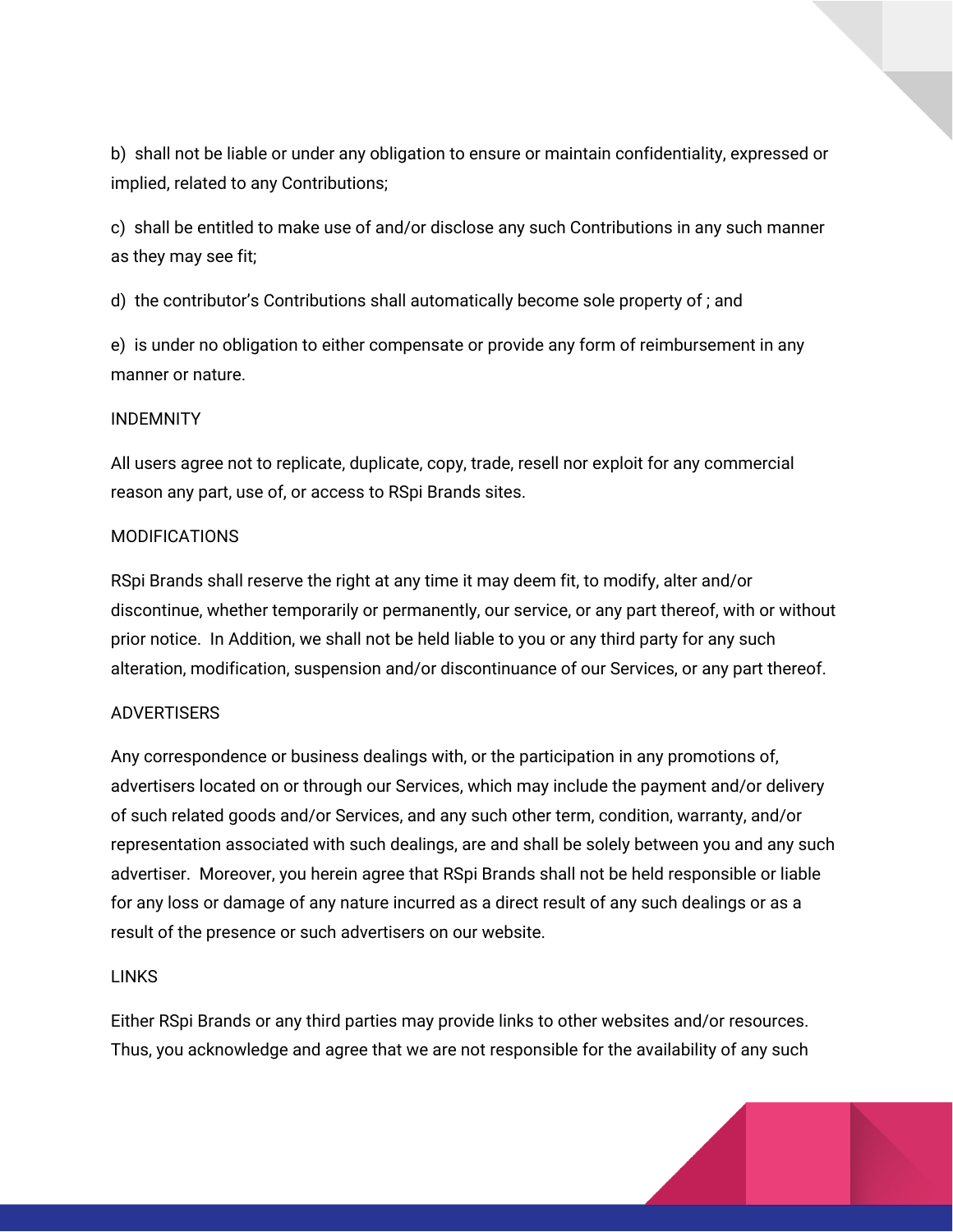b) shall not be liable or under any obligation to ensure or maintain confidentiality, expressed or implied, related to any Contributions;

c) shall be entitled to make use of and/or disclose any such Contributions in any such manner as they may see fit;

d) the contributor's Contributions shall automatically become sole property of ; and

e) is under no obligation to either compensate or provide any form of reimbursement in any manner or nature.

#### INDEMNITY

All users agree not to replicate, duplicate, copy, trade, resell nor exploit for any commercial reason any part, use of, or access to RSpi Brands sites.

#### **MODIFICATIONS**

RSpi Brands shall reserve the right at any time it may deem fit, to modify, alter and/or discontinue, whether temporarily or permanently, our service, or any part thereof, with or without prior notice. In Addition, we shall not be held liable to you or any third party for any such alteration, modification, suspension and/or discontinuance of our Services, or any part thereof.

#### ADVERTISERS

Any correspondence or business dealings with, or the participation in any promotions of, advertisers located on or through our Services, which may include the payment and/or delivery of such related goods and/or Services, and any such other term, condition, warranty, and/or representation associated with such dealings, are and shall be solely between you and any such advertiser. Moreover, you herein agree that RSpi Brands shall not be held responsible or liable for any loss or damage of any nature incurred as a direct result of any such dealings or as a result of the presence or such advertisers on our website.

## LINKS

Either RSpi Brands or any third parties may provide links to other websites and/or resources. Thus, you acknowledge and agree that we are not responsible for the availability of any such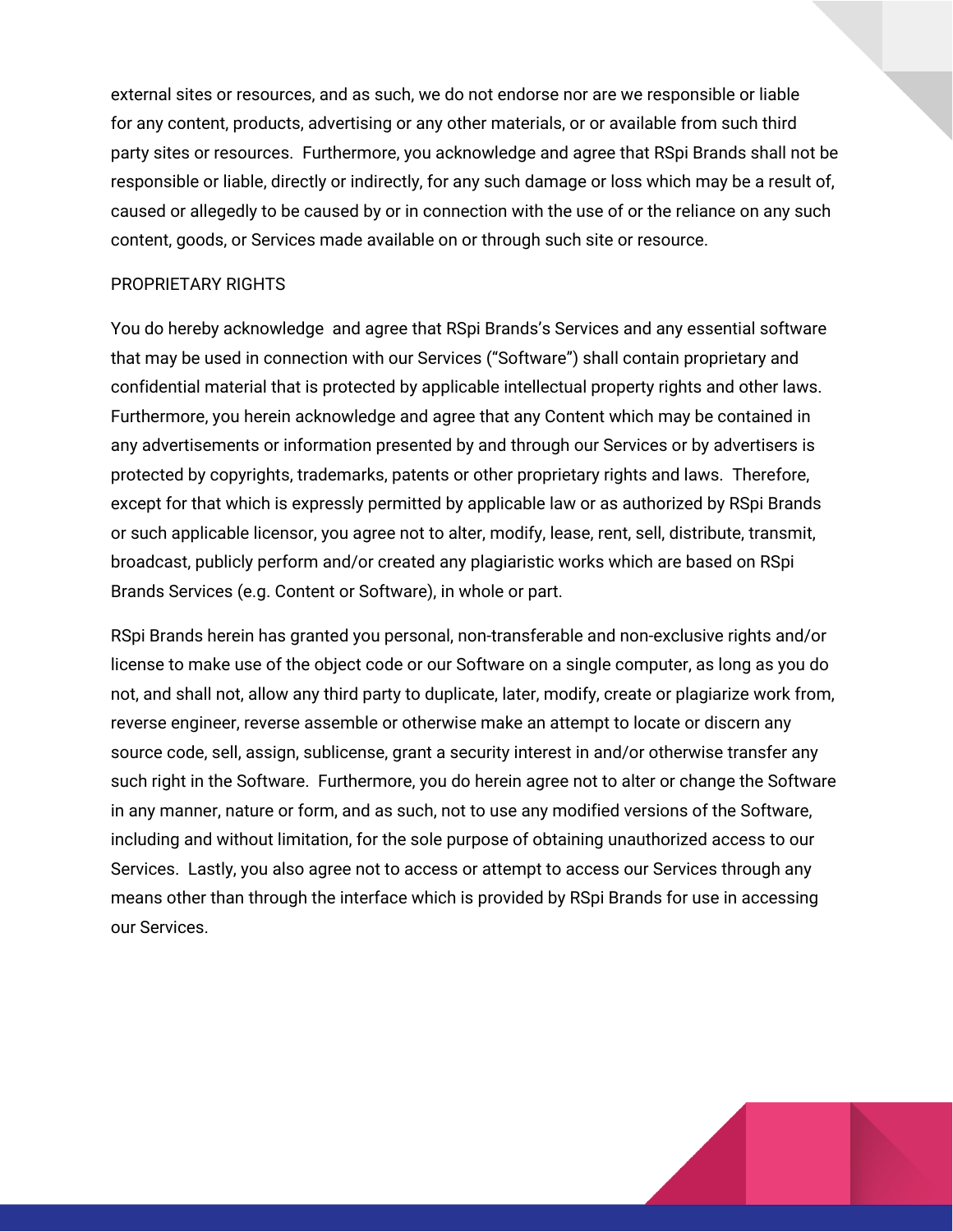external sites or resources, and as such, we do not endorse nor are we responsible or liable for any content, products, advertising or any other materials, or or available from such third party sites or resources. Furthermore, you acknowledge and agree that RSpi Brands shall not be responsible or liable, directly or indirectly, for any such damage or loss which may be a result of, caused or allegedly to be caused by or in connection with the use of or the reliance on any such content, goods, or Services made available on or through such site or resource.

## PROPRIETARY RIGHTS

You do hereby acknowledge and agree that RSpi Brands's Services and any essential software that may be used in connection with our Services ("Software") shall contain proprietary and confidential material that is protected by applicable intellectual property rights and other laws. Furthermore, you herein acknowledge and agree that any Content which may be contained in any advertisements or information presented by and through our Services or by advertisers is protected by copyrights, trademarks, patents or other proprietary rights and laws. Therefore, except for that which is expressly permitted by applicable law or as authorized by RSpi Brands or such applicable licensor, you agree not to alter, modify, lease, rent, sell, distribute, transmit, broadcast, publicly perform and/or created any plagiaristic works which are based on RSpi Brands Services (e.g. Content or Software), in whole or part.

RSpi Brands herein has granted you personal, non-transferable and non-exclusive rights and/or license to make use of the object code or our Software on a single computer, as long as you do not, and shall not, allow any third party to duplicate, later, modify, create or plagiarize work from, reverse engineer, reverse assemble or otherwise make an attempt to locate or discern any source code, sell, assign, sublicense, grant a security interest in and/or otherwise transfer any such right in the Software. Furthermore, you do herein agree not to alter or change the Software in any manner, nature or form, and as such, not to use any modified versions of the Software, including and without limitation, for the sole purpose of obtaining unauthorized access to our Services. Lastly, you also agree not to access or attempt to access our Services through any means other than through the interface which is provided by RSpi Brands for use in accessing our Services.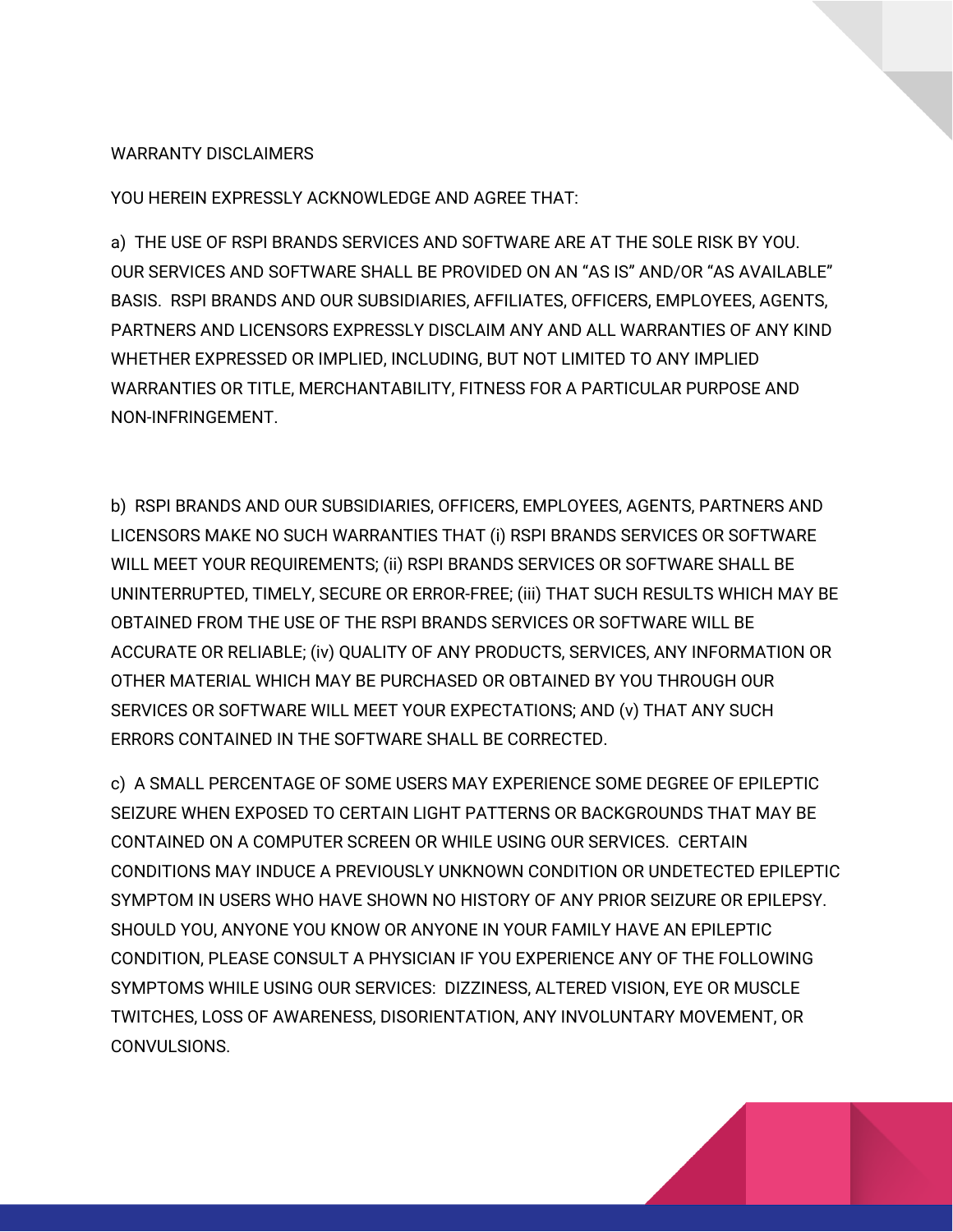## WARRANTY DISCLAIMERS

YOU HEREIN EXPRESSLY ACKNOWLEDGE AND AGREE THAT:

a) THE USE OF RSPI BRANDS SERVICES AND SOFTWARE ARE AT THE SOLE RISK BY YOU. OUR SERVICES AND SOFTWARE SHALL BE PROVIDED ON AN "AS IS" AND/OR "AS AVAILABLE" BASIS. RSPI BRANDS AND OUR SUBSIDIARIES, AFFILIATES, OFFICERS, EMPLOYEES, AGENTS, PARTNERS AND LICENSORS EXPRESSLY DISCLAIM ANY AND ALL WARRANTIES OF ANY KIND WHETHER EXPRESSED OR IMPLIED, INCLUDING, BUT NOT LIMITED TO ANY IMPLIED WARRANTIES OR TITLE, MERCHANTABILITY, FITNESS FOR A PARTICULAR PURPOSE AND NON-INFRINGEMENT.

b) RSPI BRANDS AND OUR SUBSIDIARIES, OFFICERS, EMPLOYEES, AGENTS, PARTNERS AND LICENSORS MAKE NO SUCH WARRANTIES THAT (i) RSPI BRANDS SERVICES OR SOFTWARE WILL MEET YOUR REQUIREMENTS; (ii) RSPI BRANDS SERVICES OR SOFTWARE SHALL BE UNINTERRUPTED, TIMELY, SECURE OR ERROR-FREE; (iii) THAT SUCH RESULTS WHICH MAY BE OBTAINED FROM THE USE OF THE RSPI BRANDS SERVICES OR SOFTWARE WILL BE ACCURATE OR RELIABLE; (iv) QUALITY OF ANY PRODUCTS, SERVICES, ANY INFORMATION OR OTHER MATERIAL WHICH MAY BE PURCHASED OR OBTAINED BY YOU THROUGH OUR SERVICES OR SOFTWARE WILL MEET YOUR EXPECTATIONS; AND (v) THAT ANY SUCH ERRORS CONTAINED IN THE SOFTWARE SHALL BE CORRECTED.

c) A SMALL PERCENTAGE OF SOME USERS MAY EXPERIENCE SOME DEGREE OF EPILEPTIC SEIZURE WHEN EXPOSED TO CERTAIN LIGHT PATTERNS OR BACKGROUNDS THAT MAY BE CONTAINED ON A COMPUTER SCREEN OR WHILE USING OUR SERVICES. CERTAIN CONDITIONS MAY INDUCE A PREVIOUSLY UNKNOWN CONDITION OR UNDETECTED EPILEPTIC SYMPTOM IN USERS WHO HAVE SHOWN NO HISTORY OF ANY PRIOR SEIZURE OR EPILEPSY. SHOULD YOU, ANYONE YOU KNOW OR ANYONE IN YOUR FAMILY HAVE AN EPILEPTIC CONDITION, PLEASE CONSULT A PHYSICIAN IF YOU EXPERIENCE ANY OF THE FOLLOWING SYMPTOMS WHILE USING OUR SERVICES: DIZZINESS, ALTERED VISION, EYE OR MUSCLE TWITCHES, LOSS OF AWARENESS, DISORIENTATION, ANY INVOLUNTARY MOVEMENT, OR CONVULSIONS.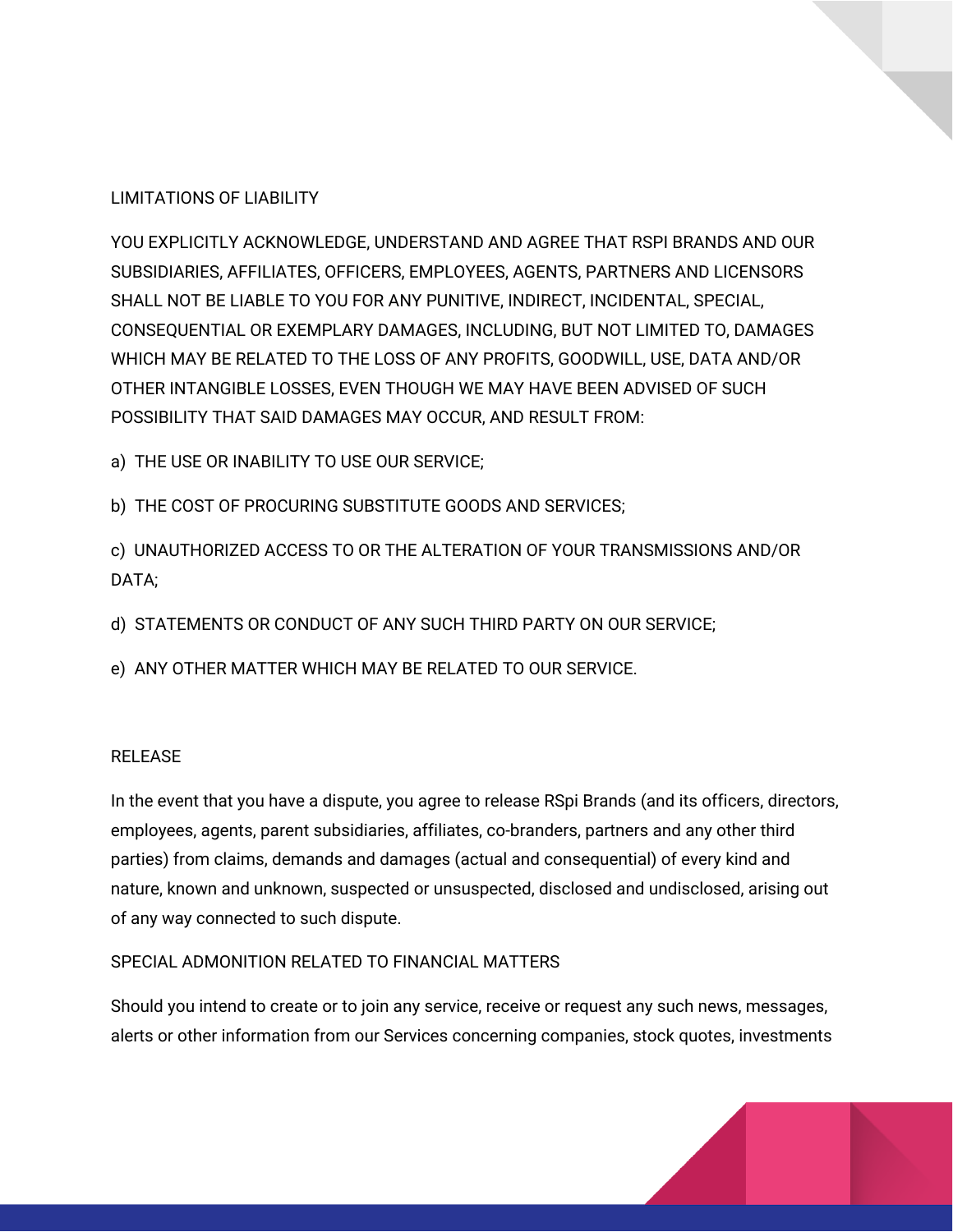## LIMITATIONS OF LIABILITY

YOU EXPLICITLY ACKNOWLEDGE, UNDERSTAND AND AGREE THAT RSPI BRANDS AND OUR SUBSIDIARIES, AFFILIATES, OFFICERS, EMPLOYEES, AGENTS, PARTNERS AND LICENSORS SHALL NOT BE LIABLE TO YOU FOR ANY PUNITIVE, INDIRECT, INCIDENTAL, SPECIAL, CONSEQUENTIAL OR EXEMPLARY DAMAGES, INCLUDING, BUT NOT LIMITED TO, DAMAGES WHICH MAY BE RELATED TO THE LOSS OF ANY PROFITS, GOODWILL, USE, DATA AND/OR OTHER INTANGIBLE LOSSES, EVEN THOUGH WE MAY HAVE BEEN ADVISED OF SUCH POSSIBILITY THAT SAID DAMAGES MAY OCCUR, AND RESULT FROM:

- a) THE USE OR INABILITY TO USE OUR SERVICE;
- b) THE COST OF PROCURING SUBSTITUTE GOODS AND SERVICES;
- c) UNAUTHORIZED ACCESS TO OR THE ALTERATION OF YOUR TRANSMISSIONS AND/OR DATA;
- d) STATEMENTS OR CONDUCT OF ANY SUCH THIRD PARTY ON OUR SERVICE;
- e) ANY OTHER MATTER WHICH MAY BE RELATED TO OUR SERVICE.

## RELEASE

In the event that you have a dispute, you agree to release RSpi Brands (and its officers, directors, employees, agents, parent subsidiaries, affiliates, co-branders, partners and any other third parties) from claims, demands and damages (actual and consequential) of every kind and nature, known and unknown, suspected or unsuspected, disclosed and undisclosed, arising out of any way connected to such dispute.

## SPECIAL ADMONITION RELATED TO FINANCIAL MATTERS

Should you intend to create or to join any service, receive or request any such news, messages, alerts or other information from our Services concerning companies, stock quotes, investments

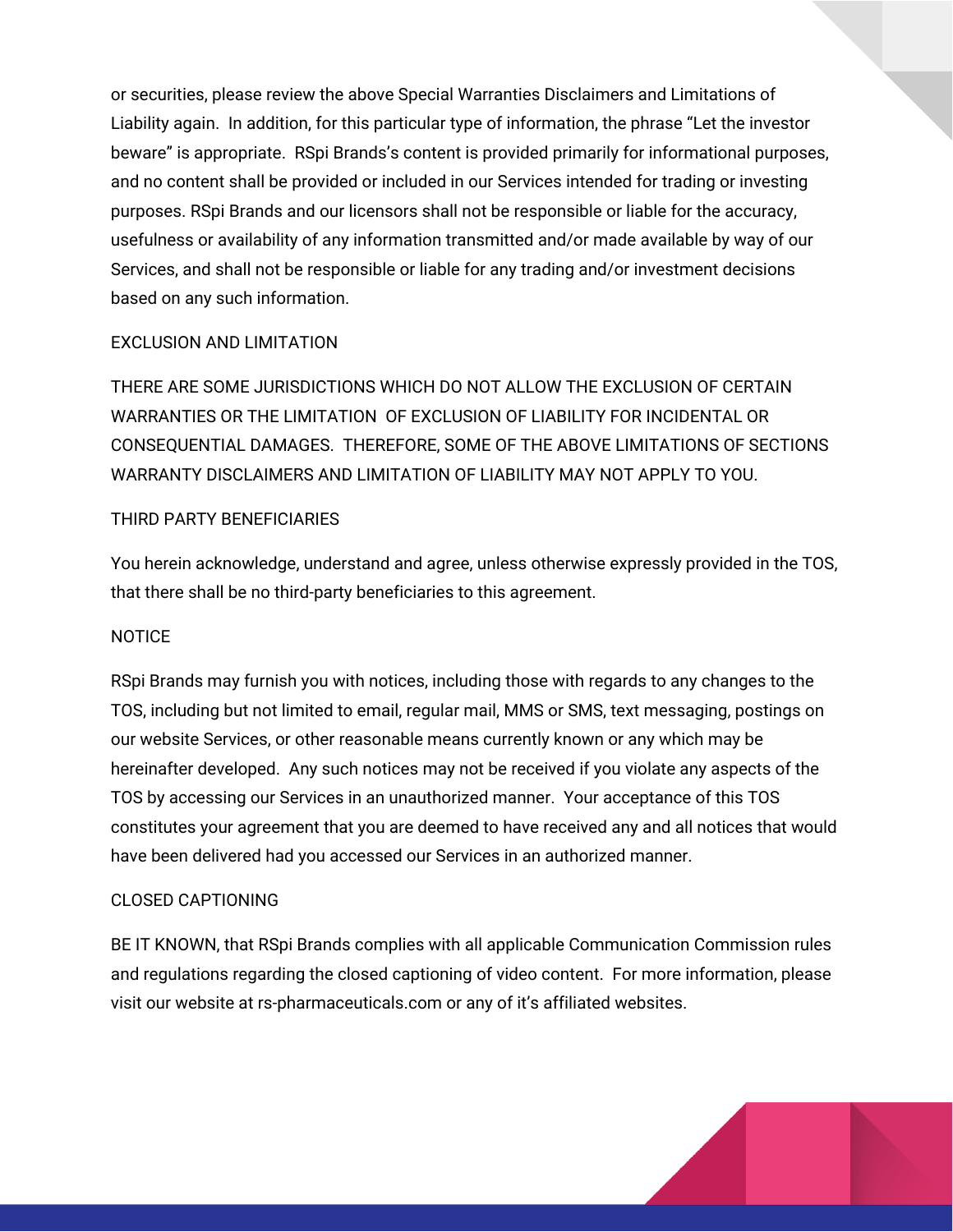or securities, please review the above Special Warranties Disclaimers and Limitations of Liability again. In addition, for this particular type of information, the phrase "Let the investor beware" is appropriate. RSpi Brands's content is provided primarily for informational purposes, and no content shall be provided or included in our Services intended for trading or investing purposes. RSpi Brands and our licensors shall not be responsible or liable for the accuracy, usefulness or availability of any information transmitted and/or made available by way of our Services, and shall not be responsible or liable for any trading and/or investment decisions based on any such information.

## EXCLUSION AND LIMITATION

THERE ARE SOME JURISDICTIONS WHICH DO NOT ALLOW THE EXCLUSION OF CERTAIN WARRANTIES OR THE LIMITATION OF EXCLUSION OF LIABILITY FOR INCIDENTAL OR CONSEQUENTIAL DAMAGES. THEREFORE, SOME OF THE ABOVE LIMITATIONS OF SECTIONS WARRANTY DISCLAIMERS AND LIMITATION OF LIABILITY MAY NOT APPLY TO YOU.

## THIRD PARTY BENEFICIARIES

You herein acknowledge, understand and agree, unless otherwise expressly provided in the TOS, that there shall be no third-party beneficiaries to this agreement.

## **NOTICE**

RSpi Brands may furnish you with notices, including those with regards to any changes to the TOS, including but not limited to email, regular mail, MMS or SMS, text messaging, postings on our website Services, or other reasonable means currently known or any which may be hereinafter developed. Any such notices may not be received if you violate any aspects of the TOS by accessing our Services in an unauthorized manner. Your acceptance of this TOS constitutes your agreement that you are deemed to have received any and all notices that would have been delivered had you accessed our Services in an authorized manner.

## CLOSED CAPTIONING

BE IT KNOWN, that RSpi Brands complies with all applicable Communication Commission rules and regulations regarding the closed captioning of video content. For more information, please visit our website at rs-pharmaceuticals.com or any of it's affiliated websites.

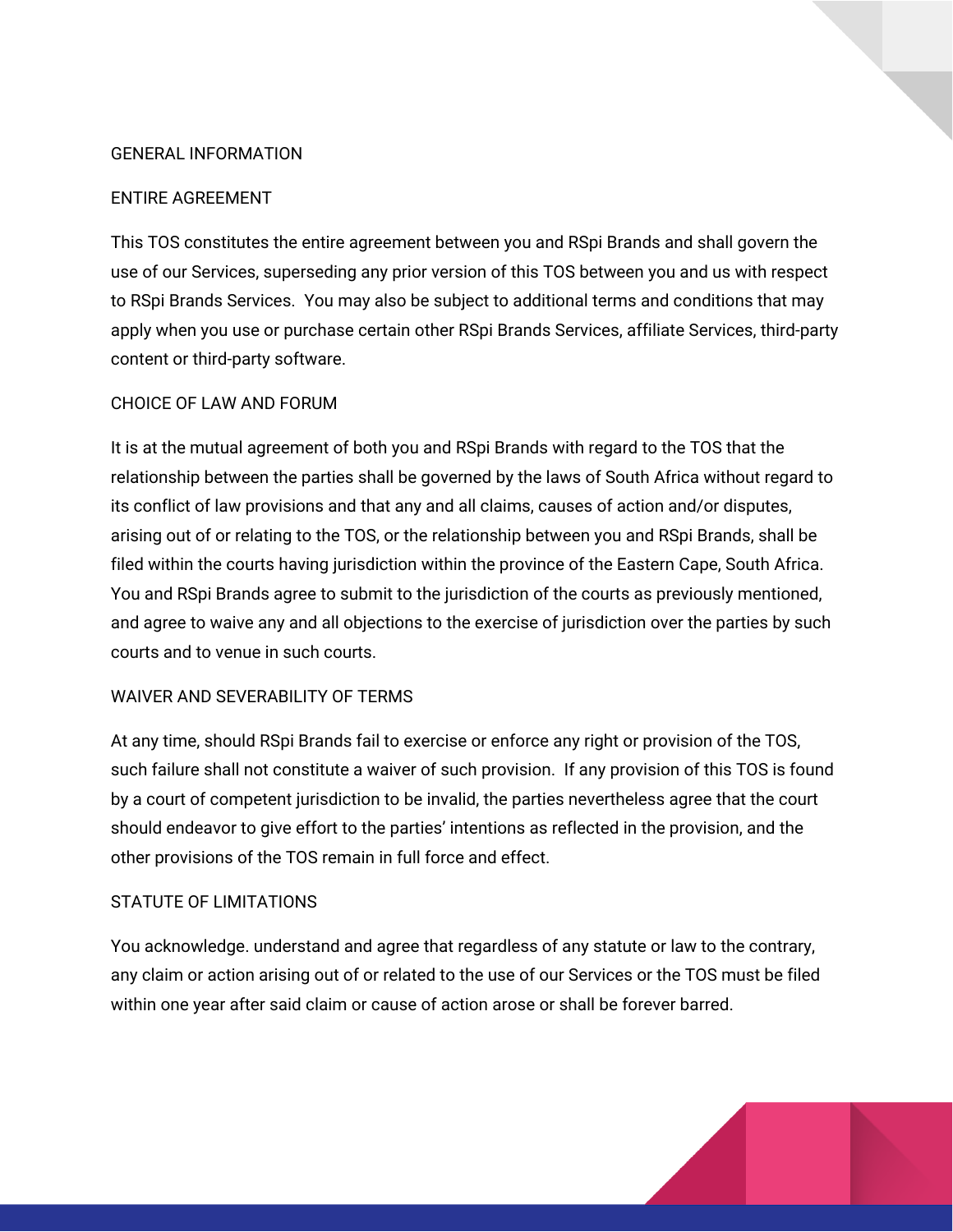## GENERAL INFORMATION

## ENTIRE AGREEMENT

This TOS constitutes the entire agreement between you and RSpi Brands and shall govern the use of our Services, superseding any prior version of this TOS between you and us with respect to RSpi Brands Services. You may also be subject to additional terms and conditions that may apply when you use or purchase certain other RSpi Brands Services, affiliate Services, third-party content or third-party software.

#### CHOICE OF LAW AND FORUM

It is at the mutual agreement of both you and RSpi Brands with regard to the TOS that the relationship between the parties shall be governed by the laws of South Africa without regard to its conflict of law provisions and that any and all claims, causes of action and/or disputes, arising out of or relating to the TOS, or the relationship between you and RSpi Brands, shall be filed within the courts having jurisdiction within the province of the Eastern Cape, South Africa. You and RSpi Brands agree to submit to the jurisdiction of the courts as previously mentioned, and agree to waive any and all objections to the exercise of jurisdiction over the parties by such courts and to venue in such courts.

## WAIVER AND SEVERABILITY OF TERMS

At any time, should RSpi Brands fail to exercise or enforce any right or provision of the TOS, such failure shall not constitute a waiver of such provision. If any provision of this TOS is found by a court of competent jurisdiction to be invalid, the parties nevertheless agree that the court should endeavor to give effort to the parties' intentions as reflected in the provision, and the other provisions of the TOS remain in full force and effect.

## STATUTE OF LIMITATIONS

You acknowledge. understand and agree that regardless of any statute or law to the contrary, any claim or action arising out of or related to the use of our Services or the TOS must be filed within one year after said claim or cause of action arose or shall be forever barred.